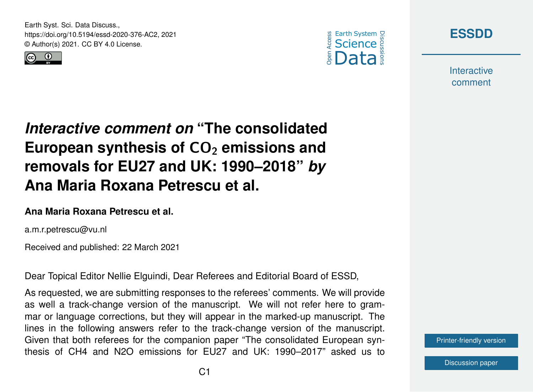Earth Syst. Sci. Data Discuss., https://doi.org/10.5194/essd-2020-376-AC2, 2021 © Author(s) 2021. CC BY 4.0 License.







**Interactive** comment

*Interactive comment on* **"The consolidated** European synthesis of CO<sub>2</sub> emissions and **removals for EU27 and UK: 1990–2018"** *by* **Ana Maria Roxana Petrescu et al.**

## **Ana Maria Roxana Petrescu et al.**

a.m.r.petrescu@vu.nl

Received and published: 22 March 2021

Dear Topical Editor Nellie Elguindi, Dear Referees and Editorial Board of ESSD,

As requested, we are submitting responses to the referees' comments. We will provide as well a track-change version of the manuscript. We will not refer here to grammar or language corrections, but they will appear in the marked-up manuscript. The lines in the following answers refer to the track-change version of the manuscript. Given that both referees for the companion paper "The consolidated European synthesis of CH4 and N2O emissions for EU27 and UK: 1990–2017" asked us to

[Printer-friendly version](https://essd.copernicus.org/preprints/essd-2020-376/essd-2020-376-AC2-print.pdf)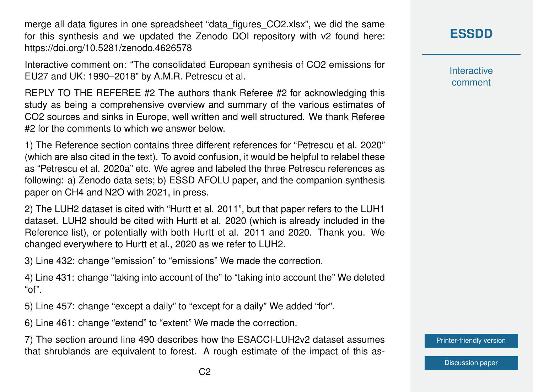merge all data figures in one spreadsheet "data\_figures\_CO2.xlsx", we did the same for this synthesis and we updated the Zenodo DOI repository with v2 found here: https://doi.org/10.5281/zenodo.4626578

Interactive comment on: "The consolidated European synthesis of CO2 emissions for EU27 and UK: 1990–2018" by A.M.R. Petrescu et al.

REPLY TO THE REFEREE #2 The authors thank Referee #2 for acknowledging this study as being a comprehensive overview and summary of the various estimates of CO2 sources and sinks in Europe, well written and well structured. We thank Referee #2 for the comments to which we answer below.

1) The Reference section contains three different references for "Petrescu et al. 2020" (which are also cited in the text). To avoid confusion, it would be helpful to relabel these as "Petrescu et al. 2020a" etc. We agree and labeled the three Petrescu references as following: a) Zenodo data sets; b) ESSD AFOLU paper, and the companion synthesis paper on CH4 and N2O with 2021, in press.

2) The LUH2 dataset is cited with "Hurtt et al. 2011", but that paper refers to the LUH1 dataset. LUH2 should be cited with Hurtt et al. 2020 (which is already included in the Reference list), or potentially with both Hurtt et al. 2011 and 2020. Thank you. We changed everywhere to Hurtt et al., 2020 as we refer to LUH2.

3) Line 432: change "emission" to "emissions" We made the correction.

4) Line 431: change "taking into account of the" to "taking into account the" We deleted "of".

5) Line 457: change "except a daily" to "except for a daily" We added "for".

6) Line 461: change "extend" to "extent" We made the correction.

7) The section around line 490 describes how the ESACCI-LUH2v2 dataset assumes that shrublands are equivalent to forest. A rough estimate of the impact of this as**[ESSDD](https://essd.copernicus.org/preprints/)**

**Interactive** comment

[Printer-friendly version](https://essd.copernicus.org/preprints/essd-2020-376/essd-2020-376-AC2-print.pdf)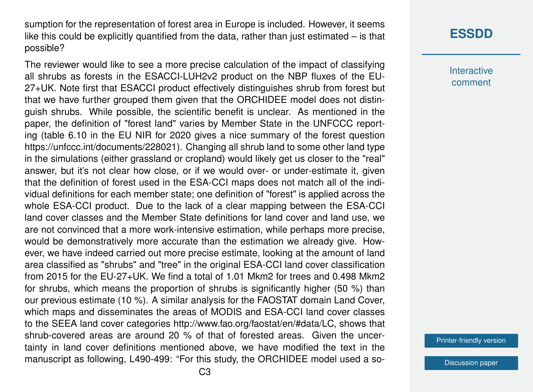sumption for the representation of forest area in Europe is included. However, it seems like this could be explicitly quantified from the data, rather than just estimated – is that possible?

The reviewer would like to see a more precise calculation of the impact of classifying all shrubs as forests in the ESACCI-LUH2v2 product on the NBP fluxes of the EU-27+UK. Note first that ESACCI product effectively distinguishes shrub from forest but that we have further grouped them given that the ORCHIDEE model does not distinguish shrubs. While possible, the scientific benefit is unclear. As mentioned in the paper, the definition of "forest land" varies by Member State in the UNFCCC reporting (table 6.10 in the EU NIR for 2020 gives a nice summary of the forest question https://unfccc.int/documents/228021). Changing all shrub land to some other land type in the simulations (either grassland or cropland) would likely get us closer to the "real" answer, but it's not clear how close, or if we would over- or under-estimate it, given that the definition of forest used in the ESA-CCI maps does not match all of the individual definitions for each member state; one definition of "forest" is applied across the whole ESA-CCI product. Due to the lack of a clear mapping between the ESA-CCI land cover classes and the Member State definitions for land cover and land use, we are not convinced that a more work-intensive estimation, while perhaps more precise, would be demonstratively more accurate than the estimation we already give. However, we have indeed carried out more precise estimate, looking at the amount of land area classified as "shrubs" and "tree" in the original ESA-CCI land cover classification from 2015 for the EU-27+UK. We find a total of 1.01 Mkm2 for trees and 0.498 Mkm2 for shrubs, which means the proportion of shrubs is significantly higher (50 %) than our previous estimate (10 %). A similar analysis for the FAOSTAT domain Land Cover, which maps and disseminates the areas of MODIS and ESA-CCI land cover classes to the SEEA land cover categories http://www.fao.org/faostat/en/#data/LC, shows that shrub-covered areas are around 20 % of that of forested areas. Given the uncertainty in land cover definitions mentioned above, we have modified the text in the manuscript as following, L490-499: "For this study, the ORCHIDEE model used a so-

## **[ESSDD](https://essd.copernicus.org/preprints/)**

**Interactive** comment

[Printer-friendly version](https://essd.copernicus.org/preprints/essd-2020-376/essd-2020-376-AC2-print.pdf)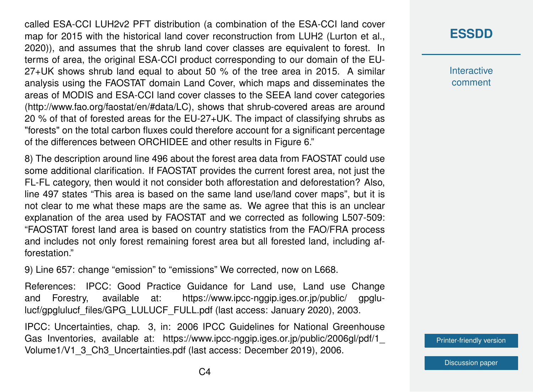called ESA-CCI LUH2v2 PFT distribution (a combination of the ESA-CCI land cover map for 2015 with the historical land cover reconstruction from LUH2 (Lurton et al., 2020)), and assumes that the shrub land cover classes are equivalent to forest. In terms of area, the original ESA-CCI product corresponding to our domain of the EU-27+UK shows shrub land equal to about 50 % of the tree area in 2015. A similar analysis using the FAOSTAT domain Land Cover, which maps and disseminates the areas of MODIS and ESA-CCI land cover classes to the SEEA land cover categories (http://www.fao.org/faostat/en/#data/LC), shows that shrub-covered areas are around 20 % of that of forested areas for the EU-27+UK. The impact of classifying shrubs as "forests" on the total carbon fluxes could therefore account for a significant percentage of the differences between ORCHIDEE and other results in Figure 6."

8) The description around line 496 about the forest area data from FAOSTAT could use some additional clarification. If FAOSTAT provides the current forest area, not just the FL-FL category, then would it not consider both afforestation and deforestation? Also, line 497 states "This area is based on the same land use/land cover maps", but it is not clear to me what these maps are the same as. We agree that this is an unclear explanation of the area used by FAOSTAT and we corrected as following L507-509: "FAOSTAT forest land area is based on country statistics from the FAO/FRA process and includes not only forest remaining forest area but all forested land, including afforestation."

9) Line 657: change "emission" to "emissions" We corrected, now on L668.

References: IPCC: Good Practice Guidance for Land use, Land use Change and Forestry, available at: https://www.ipcc-nggip.iges.or.jp/public/ gpglulucf/gpglulucf\_files/GPG\_LULUCF\_FULL.pdf (last access: January 2020), 2003.

IPCC: Uncertainties, chap. 3, in: 2006 IPCC Guidelines for National Greenhouse Gas Inventories, available at: https://www.ipcc-nggip.iges.or.jp/public/2006gl/pdf/1\_ Volume1/V1\_3\_Ch3\_Uncertainties.pdf (last access: December 2019), 2006.

## **[ESSDD](https://essd.copernicus.org/preprints/)**

**Interactive** comment

[Printer-friendly version](https://essd.copernicus.org/preprints/essd-2020-376/essd-2020-376-AC2-print.pdf)